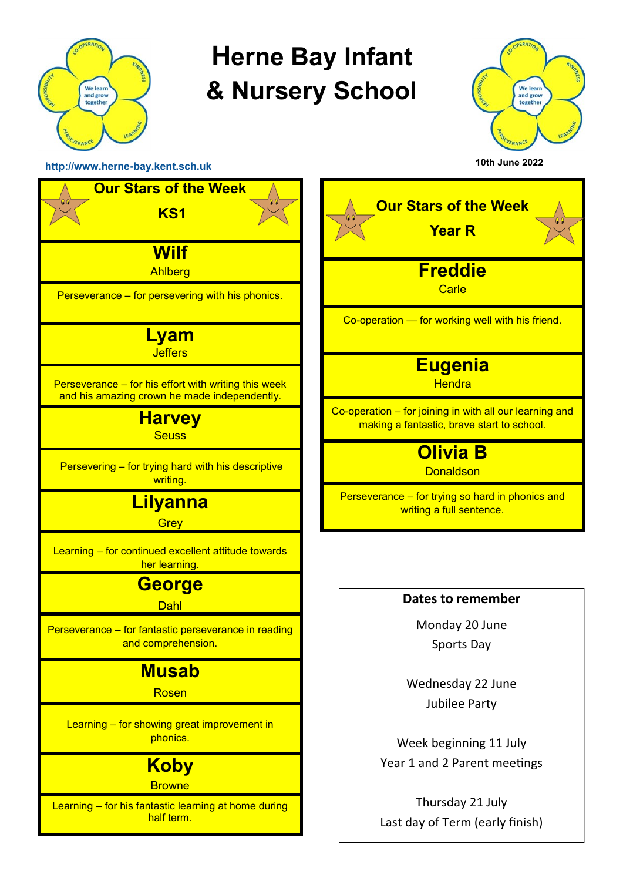

## **Herne Bay Infant & Nursery School**



**[http://www.herne](http://www.herne-bay.kent.sch.uk)-bay.kent.sch.uk** 



| <b>Our Stars of the Week</b><br><b>Year R</b>                                                         |  |  |  |
|-------------------------------------------------------------------------------------------------------|--|--|--|
| <b>Freddie</b><br>Carle                                                                               |  |  |  |
| Co-operation - for working well with his friend.                                                      |  |  |  |
| <u>Eugenia</u><br><b>Hendra</b>                                                                       |  |  |  |
| Co-operation - for joining in with all our learning and<br>making a fantastic, brave start to school. |  |  |  |
| <b>Olivia B</b><br><b>Donaldson</b>                                                                   |  |  |  |
| Perseverance - for trying so hard in phonics and<br>writing a full sentence.                          |  |  |  |
|                                                                                                       |  |  |  |
| Dates to remember                                                                                     |  |  |  |
| Monday 20 June                                                                                        |  |  |  |
| <b>Sports Day</b>                                                                                     |  |  |  |
| Wednesday 22 June                                                                                     |  |  |  |
| <b>Jubilee Party</b>                                                                                  |  |  |  |

Week beginning 11 July Year 1 and 2 Parent meetings

Thursday 21 July Last day of Term (early finish)